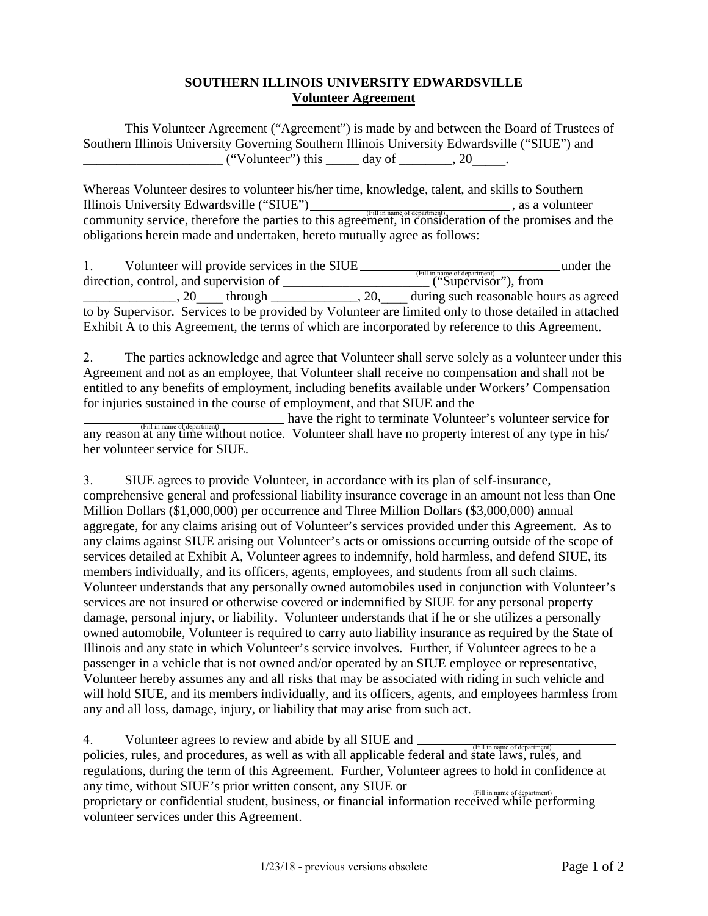## **SOUTHERN ILLINOIS UNIVERSITY EDWARDSVILLE Volunteer Agreement**

This Volunteer Agreement ("Agreement") is made by and between the Board of Trustees of Southern Illinois University Governing Southern Illinois University Edwardsville ("SIUE") and \_\_\_\_\_\_\_\_\_\_\_\_\_\_\_\_\_\_\_\_\_ ("Volunteer") this \_\_\_\_\_ day of \_\_\_\_\_\_\_\_, 20\_\_\_\_\_.

Whereas Volunteer desires to volunteer his/her time, knowledge, talent, and skills to Southern Illinois University Edwardsville ("SIUE") , as a volunteer community service, therefore the parties to this agreement, in consideration of the promises and the (Fill in name of department) obligations herein made and undertaken, hereto mutually agree as follows:

| Volunteer will provide services in the SIUE                                                           | under the                                            |
|-------------------------------------------------------------------------------------------------------|------------------------------------------------------|
| direction, control, and supervision of                                                                | (Fill in name of department)<br>("Supervisor"), from |
| . 20<br>, 20,<br>through                                                                              | during such reasonable hours as agreed               |
| to by Supervisor. Services to be provided by Volunteer are limited only to those detailed in attached |                                                      |
| Exhibit A to this Agreement, the terms of which are incorporated by reference to this Agreement.      |                                                      |

2. The parties acknowledge and agree that Volunteer shall serve solely as a volunteer under this Agreement and not as an employee, that Volunteer shall receive no compensation and shall not be entitled to any benefits of employment, including benefits available under Workers' Compensation for injuries sustained in the course of employment, and that SIUE and the

have the right to terminate Volunteer's volunteer service for THE IN THE OF department)<br>any reason at any time without notice. Volunteer shall have no property interest of any type in his/ her volunteer service for SIUE.

3. SIUE agrees to provide Volunteer, in accordance with its plan of self-insurance, comprehensive general and professional liability insurance coverage in an amount not less than One Million Dollars (\$1,000,000) per occurrence and Three Million Dollars (\$3,000,000) annual aggregate, for any claims arising out of Volunteer's services provided under this Agreement. As to any claims against SIUE arising out Volunteer's acts or omissions occurring outside of the scope of services detailed at Exhibit A, Volunteer agrees to indemnify, hold harmless, and defend SIUE, its members individually, and its officers, agents, employees, and students from all such claims. Volunteer understands that any personally owned automobiles used in conjunction with Volunteer's services are not insured or otherwise covered or indemnified by SIUE for any personal property damage, personal injury, or liability. Volunteer understands that if he or she utilizes a personally owned automobile, Volunteer is required to carry auto liability insurance as required by the State of Illinois and any state in which Volunteer's service involves. Further, if Volunteer agrees to be a passenger in a vehicle that is not owned and/or operated by an SIUE employee or representative, Volunteer hereby assumes any and all risks that may be associated with riding in such vehicle and will hold SIUE, and its members individually, and its officers, agents, and employees harmless from any and all loss, damage, injury, or liability that may arise from such act.

4. Volunteer agrees to review and abide by all SIUE and

policies, rules, and procedures, as well as with all applicable federal and state laws, rules, and regulations, during the term of this Agreement. Further, Volunteer agrees to hold in confidence at any time, without SIUE's prior written consent, any SIUE or proprietary or confidential student, business, or financial information received while performing volunteer services under this Agreement. (Fill in name of department)